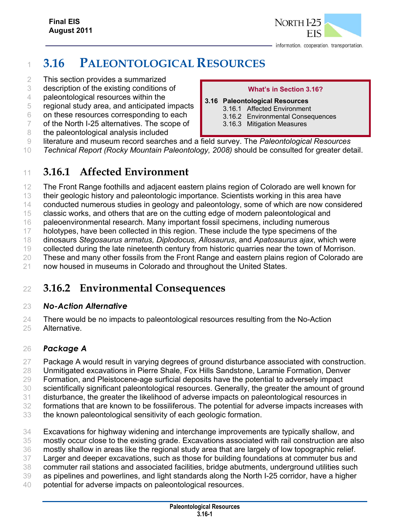

# **3.16 PALEONTOLOGICAL RESOURCES**

- This section provides a summarized
- description of the existing conditions of
- paleontological resources within the
- regional study area, and anticipated impacts
- on these resources corresponding to each
- of the North I-25 alternatives. The scope of
- 8 the paleontological analysis included

#### **What's in Section 3.16?**

- **3.16 Paleontological Resources**  3.16.1 Affected Environment
	- 3.16.2 Environmental Consequences
	- 3.16.3 Mitigation Measures
	-
- literature and museum record searches and a field survey. The *Paleontological Resources*
- *Technical Report (Rocky Mountain Paleontology, 2008)* should be consulted for greater detail.

### **3.16.1 Affected Environment**

The Front Range foothills and adjacent eastern plains region of Colorado are well known for

- their geologic history and paleontologic importance. Scientists working in this area have
- conducted numerous studies in geology and paleontology, some of which are now considered
- classic works, and others that are on the cutting edge of modern paleontological and
- paleoenvironmental research. Many important fossil specimens, including numerous
- 17 holotypes, have been collected in this region. These include the type specimens of the
- dinosaurs *Stegosaurus armatus, Diplodocus, Allosaurus*, and *Apatosaurus ajax*, which were
- collected during the late nineteenth century from historic quarries near the town of Morrison.
- 20 These and many other fossils from the Front Range and eastern plains region of Colorado are
- now housed in museums in Colorado and throughout the United States.

## **3.16.2 Environmental Consequences**

#### *No-Action Alternative*

24 There would be no impacts to paleontological resources resulting from the No-Action Alternative.

### *Package A*

- Package A would result in varying degrees of ground disturbance associated with construction.
- Unmitigated excavations in Pierre Shale, Fox Hills Sandstone, Laramie Formation, Denver
- Formation, and Pleistocene-age surficial deposits have the potential to adversely impact
- scientifically significant paleontological resources. Generally, the greater the amount of ground
- disturbance, the greater the likelihood of adverse impacts on paleontological resources in
- formations that are known to be fossiliferous. The potential for adverse impacts increases with
- the known paleontological sensitivity of each geologic formation.
- Excavations for highway widening and interchange improvements are typically shallow, and
- mostly occur close to the existing grade. Excavations associated with rail construction are also
- mostly shallow in areas like the regional study area that are largely of low topographic relief.
- Larger and deeper excavations, such as those for building foundations at commuter bus and
- commuter rail stations and associated facilities, bridge abutments, underground utilities such
- as pipelines and powerlines, and light standards along the North I-25 corridor, have a higher
- potential for adverse impacts on paleontological resources.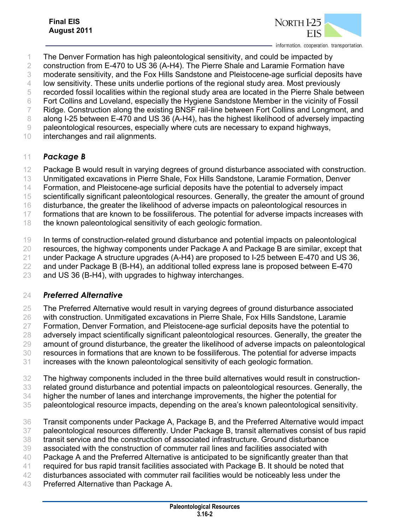

information. cooperation. transportation.

- The Denver Formation has high paleontological sensitivity, and could be impacted by
- construction from E-470 to US 36 (A-H4). The Pierre Shale and Laramie Formation have
- moderate sensitivity, and the Fox Hills Sandstone and Pleistocene-age surficial deposits have
- low sensitivity. These units underlie portions of the regional study area. Most previously
- recorded fossil localities within the regional study area are located in the Pierre Shale between
- Fort Collins and Loveland, especially the Hygiene Sandstone Member in the vicinity of Fossil
- Ridge. Construction along the existing BNSF rail-line between Fort Collins and Longmont, and
- 8 along I-25 between E-470 and US 36 (A-H4), has the highest likelihood of adversely impacting
- paleontological resources, especially where cuts are necessary to expand highways,
- interchanges and rail alignments.

#### *Package B*

- Package B would result in varying degrees of ground disturbance associated with construction.
- Unmitigated excavations in Pierre Shale, Fox Hills Sandstone, Laramie Formation, Denver
- Formation, and Pleistocene-age surficial deposits have the potential to adversely impact
- scientifically significant paleontological resources. Generally, the greater the amount of ground
- disturbance, the greater the likelihood of adverse impacts on paleontological resources in
- formations that are known to be fossiliferous. The potential for adverse impacts increases with
- 18 the known paleontological sensitivity of each geologic formation.
- In terms of construction-related ground disturbance and potential impacts on paleontological
- resources, the highway components under Package A and Package B are similar, except that
- under Package A structure upgrades (A-H4) are proposed to I-25 between E-470 and US 36,
- and under Package B (B-H4), an additional tolled express lane is proposed between E-470
- and US 36 (B-H4), with upgrades to highway interchanges.

#### *Preferred Alternative*

- The Preferred Alternative would result in varying degrees of ground disturbance associated
- with construction. Unmitigated excavations in Pierre Shale, Fox Hills Sandstone, Laramie
- Formation, Denver Formation, and Pleistocene-age surficial deposits have the potential to
- adversely impact scientifically significant paleontological resources. Generally, the greater the
- amount of ground disturbance, the greater the likelihood of adverse impacts on paleontological
- resources in formations that are known to be fossiliferous. The potential for adverse impacts
- increases with the known paleontological sensitivity of each geologic formation.
- The highway components included in the three build alternatives would result in construction-
- related ground disturbance and potential impacts on paleontological resources. Generally, the
- higher the number of lanes and interchange improvements, the higher the potential for
- paleontological resource impacts, depending on the area's known paleontological sensitivity.
- Transit components under Package A, Package B, and the Preferred Alternative would impact
- paleontological resources differently. Under Package B, transit alternatives consist of bus rapid
- transit service and the construction of associated infrastructure. Ground disturbance
- associated with the construction of commuter rail lines and facilities associated with
- Package A and the Preferred Alternative is anticipated to be significantly greater than that
- required for bus rapid transit facilities associated with Package B. It should be noted that
- disturbances associated with commuter rail facilities would be noticeably less under the
- Preferred Alternative than Package A.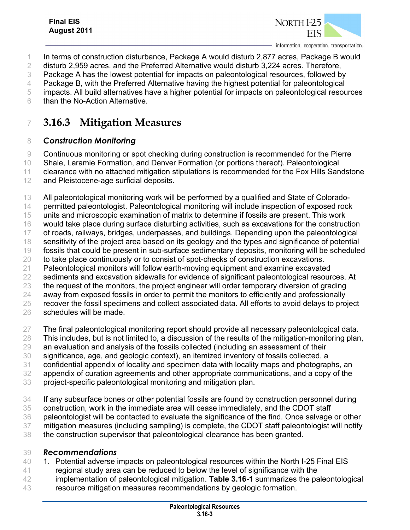

- In terms of construction disturbance, Package A would disturb 2,877 acres, Package B would
- disturb 2,959 acres, and the Preferred Alternative would disturb 3,224 acres. Therefore,
- Package A has the lowest potential for impacts on paleontological resources, followed by
- Package B, with the Preferred Alternative having the highest potential for paleontological
- impacts. All build alternatives have a higher potential for impacts on paleontological resources
- than the No-Action Alternative.

### **3.16.3 Mitigation Measures**

#### *Construction Monitoring*

 Continuous monitoring or spot checking during construction is recommended for the Pierre Shale, Laramie Formation, and Denver Formation (or portions thereof). Paleontological

- clearance with no attached mitigation stipulations is recommended for the Fox Hills Sandstone
- 12 and Pleistocene-age surficial deposits.
- All paleontological monitoring work will be performed by a qualified and State of Colorado-
- 14 permitted paleontologist. Paleontological monitoring will include inspection of exposed rock
- units and microscopic examination of matrix to determine if fossils are present. This work
- would take place during surface disturbing activities, such as excavations for the construction
- of roads, railways, bridges, underpasses, and buildings. Depending upon the paleontological
- sensitivity of the project area based on its geology and the types and significance of potential
- fossils that could be present in sub-surface sedimentary deposits, monitoring will be scheduled
- to take place continuously or to consist of spot-checks of construction excavations.
- Paleontological monitors will follow earth-moving equipment and examine excavated
- sediments and excavation sidewalls for evidence of significant paleontological resources. At
- 23 the request of the monitors, the project engineer will order temporary diversion of grading
- 24 away from exposed fossils in order to permit the monitors to efficiently and professionally
- recover the fossil specimens and collect associated data. All efforts to avoid delays to project
- schedules will be made.
- The final paleontological monitoring report should provide all necessary paleontological data.
- This includes, but is not limited to, a discussion of the results of the mitigation-monitoring plan,
- an evaluation and analysis of the fossils collected (including an assessment of their
- significance, age, and geologic context), an itemized inventory of fossils collected, a
- confidential appendix of locality and specimen data with locality maps and photographs, an
- appendix of curation agreements and other appropriate communications, and a copy of the
- project-specific paleontological monitoring and mitigation plan.
- If any subsurface bones or other potential fossils are found by construction personnel during
- construction, work in the immediate area will cease immediately, and the CDOT staff
- paleontologist will be contacted to evaluate the significance of the find. Once salvage or other
- mitigation measures (including sampling) is complete, the CDOT staff paleontologist will notify
- the construction supervisor that paleontological clearance has been granted.

#### *Recommendations*

- 1. Potential adverse impacts on paleontological resources within the North I-25 Final EIS
- 41 regional study area can be reduced to below the level of significance with the
- implementation of paleontological mitigation. **Table 3.16-1** summarizes the paleontological
- resource mitigation measures recommendations by geologic formation.